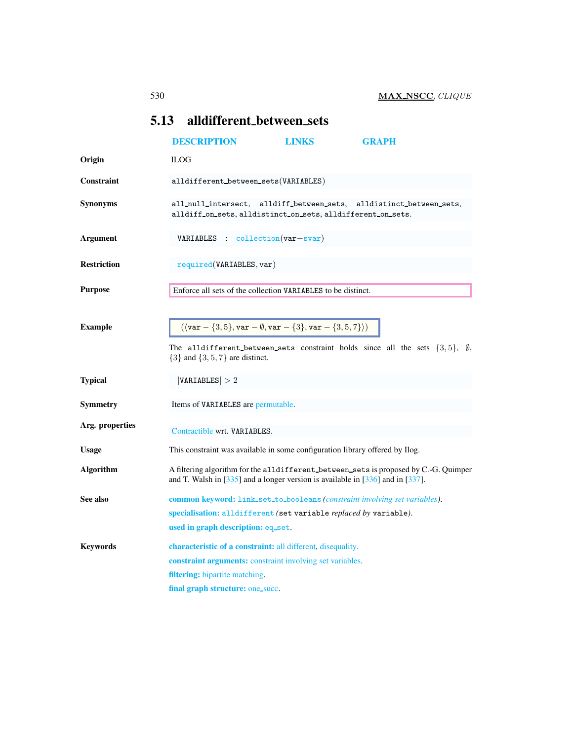## <span id="page-0-0"></span>5.13 alldifferent between sets

<span id="page-0-1"></span>

|                    | <b>DESCRIPTION</b>                                                                                                                                                                                    | <b>LINKS</b> | <b>GRAPH</b>                                                                                |  |
|--------------------|-------------------------------------------------------------------------------------------------------------------------------------------------------------------------------------------------------|--------------|---------------------------------------------------------------------------------------------|--|
| Origin             | <b>ILOG</b>                                                                                                                                                                                           |              |                                                                                             |  |
| Constraint         | alldifferent_between_sets(VARIABLES)                                                                                                                                                                  |              |                                                                                             |  |
| <b>Synonyms</b>    | all_null_intersect, alldiff_between_sets,<br>alldistinct_between_sets,<br>alldiff on sets, alldistinct on sets, alldifferent on sets.                                                                 |              |                                                                                             |  |
| <b>Argument</b>    | VARIABLES : collection(var-svar)                                                                                                                                                                      |              |                                                                                             |  |
| <b>Restriction</b> | required(VARIABLES, var)                                                                                                                                                                              |              |                                                                                             |  |
| <b>Purpose</b>     | Enforce all sets of the collection VARIABLES to be distinct.                                                                                                                                          |              |                                                                                             |  |
| <b>Example</b>     | $(\langle var - \{3, 5\}, var - \emptyset, var - \{3\}, var - \{3, 5, 7\}\rangle)$<br>$\{3\}$ and $\{3, 5, 7\}$ are distinct.                                                                         |              | The alldifferent between sets constraint holds since all the sets $\{3,5\}$ , $\emptyset$ , |  |
| <b>Typical</b>     | VARIABLES  > 2                                                                                                                                                                                        |              |                                                                                             |  |
| Symmetry           | Items of VARIABLES are permutable.                                                                                                                                                                    |              |                                                                                             |  |
| Arg. properties    | Contractible wrt. VARIABLES.                                                                                                                                                                          |              |                                                                                             |  |
| <b>Usage</b>       | This constraint was available in some configuration library offered by Ilog.                                                                                                                          |              |                                                                                             |  |
| <b>Algorithm</b>   | A filtering algorithm for the alldifferent_between_sets is proposed by C.-G. Quimper<br>and T. Walsh in $[335]$ and a longer version is available in $[336]$ and in $[337]$ .                         |              |                                                                                             |  |
| See also           | <b>common keyword:</b> link_set_to_booleans ( <i>constraint involving set variables</i> ).<br>specialisation: alldifferent (set variable replaced by variable).<br>used in graph description: eq_set. |              |                                                                                             |  |
| <b>Keywords</b>    | characteristic of a constraint: all different, disequality.<br><b>constraint arguments:</b> constraint involving set variables.<br>filtering: bipartite matching.<br>final graph structure: one_succ. |              |                                                                                             |  |